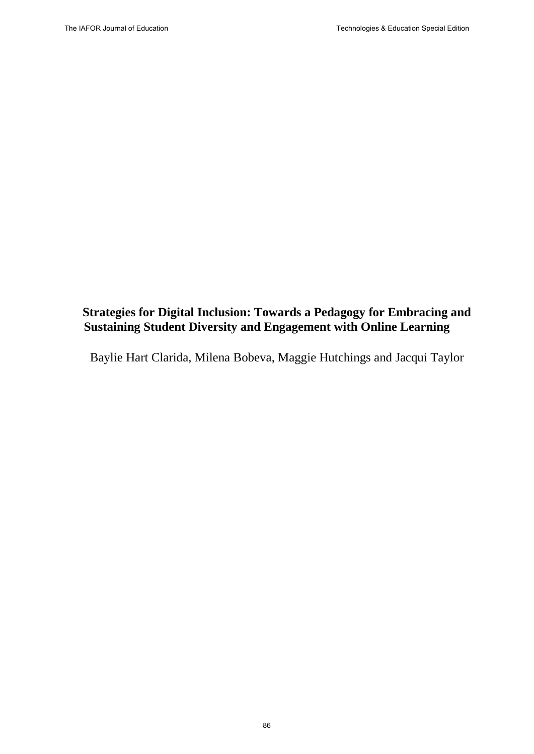# **Strategies for Digital Inclusion: Towards a Pedagogy for Embracing and Sustaining Student Diversity and Engagement with Online Learning**

Baylie Hart Clarida, Milena Bobeva, Maggie Hutchings and Jacqui Taylor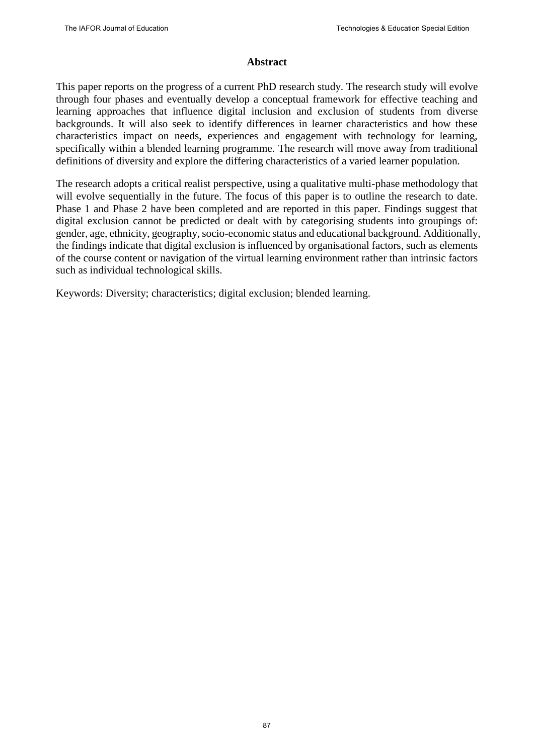#### **Abstract**

This paper reports on the progress of a current PhD research study. The research study will evolve through four phases and eventually develop a conceptual framework for effective teaching and learning approaches that influence digital inclusion and exclusion of students from diverse backgrounds. It will also seek to identify differences in learner characteristics and how these characteristics impact on needs, experiences and engagement with technology for learning, specifically within a blended learning programme. The research will move away from traditional definitions of diversity and explore the differing characteristics of a varied learner population.

The research adopts a critical realist perspective, using a qualitative multi-phase methodology that will evolve sequentially in the future. The focus of this paper is to outline the research to date. Phase 1 and Phase 2 have been completed and are reported in this paper. Findings suggest that digital exclusion cannot be predicted or dealt with by categorising students into groupings of: gender, age, ethnicity, geography, socio-economic status and educational background. Additionally, the findings indicate that digital exclusion is influenced by organisational factors, such as elements of the course content or navigation of the virtual learning environment rather than intrinsic factors such as individual technological skills.

Keywords: Diversity; characteristics; digital exclusion; blended learning.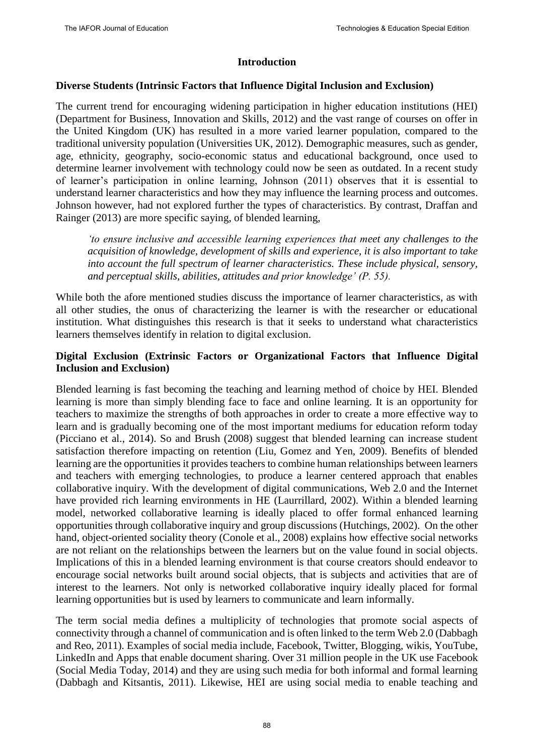#### **Introduction**

#### **Diverse Students (Intrinsic Factors that Influence Digital Inclusion and Exclusion)**

The current trend for encouraging widening participation in higher education institutions (HEI) (Department for Business, Innovation and Skills, 2012) and the vast range of courses on offer in the United Kingdom (UK) has resulted in a more varied learner population, compared to the traditional university population (Universities UK, 2012). Demographic measures, such as gender, age, ethnicity, geography, socio-economic status and educational background, once used to determine learner involvement with technology could now be seen as outdated. In a recent study of learner's participation in online learning, Johnson (2011) observes that it is essential to understand learner characteristics and how they may influence the learning process and outcomes. Johnson however, had not explored further the types of characteristics. By contrast, Draffan and Rainger (2013) are more specific saying, of blended learning,

*'to ensure inclusive and accessible learning experiences that meet any challenges to the acquisition of knowledge, development of skills and experience, it is also important to take into account the full spectrum of learner characteristics. These include physical, sensory, and perceptual skills, abilities, attitudes and prior knowledge' (P. 55).*

While both the afore mentioned studies discuss the importance of learner characteristics, as with all other studies, the onus of characterizing the learner is with the researcher or educational institution. What distinguishes this research is that it seeks to understand what characteristics learners themselves identify in relation to digital exclusion.

# **Digital Exclusion (Extrinsic Factors or Organizational Factors that Influence Digital Inclusion and Exclusion)**

Blended learning is fast becoming the teaching and learning method of choice by HEI. Blended learning is more than simply blending face to face and online learning. It is an opportunity for teachers to maximize the strengths of both approaches in order to create a more effective way to learn and is gradually becoming one of the most important mediums for education reform today (Picciano et al., 2014). So and Brush (2008) suggest that blended learning can increase student satisfaction therefore impacting on retention (Liu, Gomez and Yen, 2009). Benefits of blended learning are the opportunities it provides teachers to combine human relationships between learners and teachers with emerging technologies, to produce a learner centered approach that enables collaborative inquiry. With the development of digital communications, Web 2.0 and the Internet have provided rich learning environments in HE (Laurrillard, 2002). Within a blended learning model, networked collaborative learning is ideally placed to offer formal enhanced learning opportunities through collaborative inquiry and group discussions (Hutchings, 2002). On the other hand, object-oriented sociality theory (Conole et al., 2008) explains how effective social networks are not reliant on the relationships between the learners but on the value found in social objects. Implications of this in a blended learning environment is that course creators should endeavor to encourage social networks built around social objects, that is subjects and activities that are of interest to the learners. Not only is networked collaborative inquiry ideally placed for formal learning opportunities but is used by learners to communicate and learn informally.

The term social media defines a multiplicity of technologies that promote social aspects of connectivity through a channel of communication and is often linked to the term Web 2.0 (Dabbagh and Reo, 2011). Examples of social media include, Facebook, Twitter, Blogging, wikis, YouTube, LinkedIn and Apps that enable document sharing. Over 31 million people in the UK use Facebook (Social Media Today, 2014) and they are using such media for both informal and formal learning (Dabbagh and Kitsantis, 2011). Likewise, HEI are using social media to enable teaching and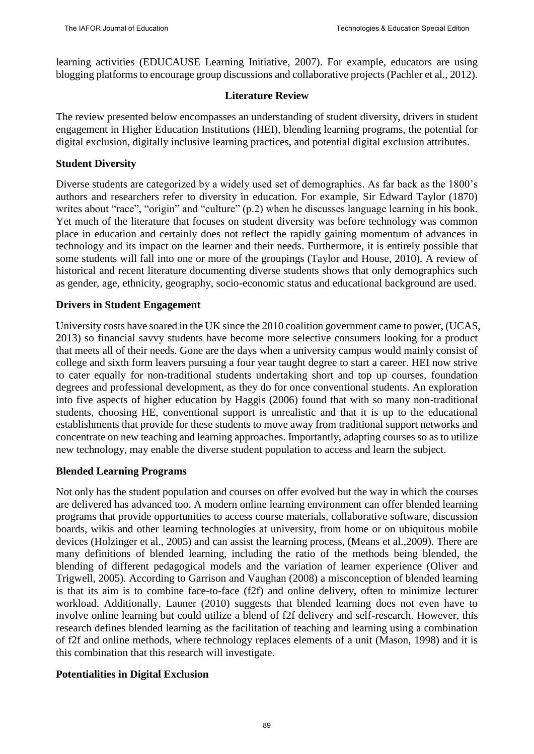learning activities (EDUCAUSE Learning Initiative, 2007). For example, educators are using blogging platforms to encourage group discussions and collaborative projects (Pachler et al., 2012).

#### **Literature Review**

The review presented below encompasses an understanding of student diversity, drivers in student engagement in Higher Education Institutions (HEI), blending learning programs, the potential for digital exclusion, digitally inclusive learning practices, and potential digital exclusion attributes.

#### **Student Diversity**

Diverse students are categorized by a widely used set of demographics. As far back as the 1800's authors and researchers refer to diversity in education. For example, Sir Edward Taylor (1870) writes about "race", "origin" and "culture" (p.2) when he discusses language learning in his book. Yet much of the literature that focuses on student diversity was before technology was common place in education and certainly does not reflect the rapidly gaining momentum of advances in technology and its impact on the learner and their needs. Furthermore, it is entirely possible that some students will fall into one or more of the groupings (Taylor and House, 2010). A review of historical and recent literature documenting diverse students shows that only demographics such as gender, age, ethnicity, geography, socio-economic status and educational background are used.

### **Drivers in Student Engagement**

University costs have soared in the UK since the 2010 coalition government came to power, (UCAS, 2013) so financial savvy students have become more selective consumers looking for a product that meets all of their needs. Gone are the days when a university campus would mainly consist of college and sixth form leavers pursuing a four year taught degree to start a career. HEI now strive to cater equally for non-traditional students undertaking short and top up courses, foundation degrees and professional development, as they do for once conventional students. An exploration into five aspects of higher education by Haggis (2006) found that with so many non-traditional students, choosing HE, conventional support is unrealistic and that it is up to the educational establishments that provide for these students to move away from traditional support networks and concentrate on new teaching and learning approaches. Importantly, adapting courses so as to utilize new technology, may enable the diverse student population to access and learn the subject.

### **Blended Learning Programs**

Not only has the student population and courses on offer evolved but the way in which the courses are delivered has advanced too. A modern online learning environment can offer blended learning programs that provide opportunities to access course materials, collaborative software, discussion boards, wikis and other learning technologies at university, from home or on ubiquitous mobile devices (Holzinger et al., 2005) and can assist the learning process, (Means et al.,2009). There are many definitions of blended learning, including the ratio of the methods being blended, the blending of different pedagogical models and the variation of learner experience (Oliver and Trigwell, 2005). According to Garrison and Vaughan (2008) a misconception of blended learning is that its aim is to combine face-to-face (f2f) and online delivery, often to minimize lecturer workload. Additionally, Launer (2010) suggests that blended learning does not even have to involve online learning but could utilize a blend of f2f delivery and self-research. However, this research defines blended learning as the facilitation of teaching and learning using a combination of f2f and online methods, where technology replaces elements of a unit (Mason, 1998) and it is this combination that this research will investigate.

### **Potentialities in Digital Exclusion**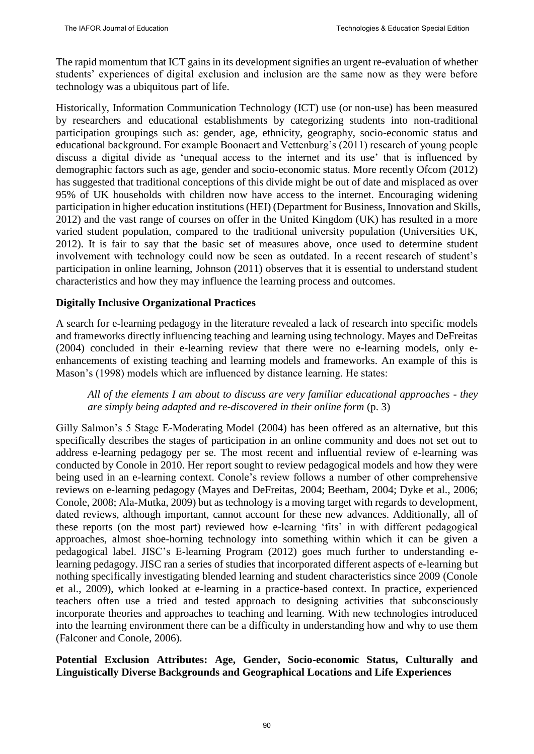The rapid momentum that ICT gains in its development signifies an urgent re-evaluation of whether students' experiences of digital exclusion and inclusion are the same now as they were before technology was a ubiquitous part of life.

Historically, Information Communication Technology (ICT) use (or non-use) has been measured by researchers and educational establishments by categorizing students into non-traditional participation groupings such as: gender, age, ethnicity, geography, socio-economic status and educational background. For example Boonaert and Vettenburg's (2011) research of young people discuss a digital divide as 'unequal access to the internet and its use' that is influenced by demographic factors such as age, gender and socio-economic status. More recently Ofcom (2012) has suggested that traditional conceptions of this divide might be out of date and misplaced as over 95% of UK households with children now have access to the internet. Encouraging widening participation in higher education institutions (HEI) (Department for Business, Innovation and Skills, 2012) and the vast range of courses on offer in the United Kingdom (UK) has resulted in a more varied student population, compared to the traditional university population (Universities UK, 2012). It is fair to say that the basic set of measures above, once used to determine student involvement with technology could now be seen as outdated. In a recent research of student's participation in online learning, Johnson (2011) observes that it is essential to understand student characteristics and how they may influence the learning process and outcomes.

# **Digitally Inclusive Organizational Practices**

A search for e-learning pedagogy in the literature revealed a lack of research into specific models and frameworks directly influencing teaching and learning using technology. Mayes and DeFreitas (2004) concluded in their e-learning review that there were no e-learning models, only eenhancements of existing teaching and learning models and frameworks. An example of this is Mason's (1998) models which are influenced by distance learning. He states:

# *All of the elements I am about to discuss are very familiar educational approaches - they are simply being adapted and re-discovered in their online form* (p. 3)

Gilly Salmon's 5 Stage E-Moderating Model (2004) has been offered as an alternative, but this specifically describes the stages of participation in an online community and does not set out to address e-learning pedagogy per se. The most recent and influential review of e-learning was conducted by Conole in 2010. Her report sought to review pedagogical models and how they were being used in an e-learning context. Conole's review follows a number of other comprehensive reviews on e-learning pedagogy (Mayes and DeFreitas, 2004; Beetham, 2004; Dyke et al., 2006; Conole, 2008; Ala-Mutka, 2009) but as technology is a moving target with regards to development, dated reviews, although important, cannot account for these new advances. Additionally, all of these reports (on the most part) reviewed how e-learning 'fits' in with different pedagogical approaches, almost shoe-horning technology into something within which it can be given a pedagogical label. JISC's E-learning Program (2012) goes much further to understanding elearning pedagogy. JISC ran a series of studies that incorporated different aspects of e-learning but nothing specifically investigating blended learning and student characteristics since 2009 (Conole et al., 2009), which looked at e-learning in a practice-based context. In practice, experienced teachers often use a tried and tested approach to designing activities that subconsciously incorporate theories and approaches to teaching and learning. With new technologies introduced into the learning environment there can be a difficulty in understanding how and why to use them (Falconer and Conole, 2006).

# **Potential Exclusion Attributes: Age, Gender, Socio-economic Status, Culturally and Linguistically Diverse Backgrounds and Geographical Locations and Life Experiences**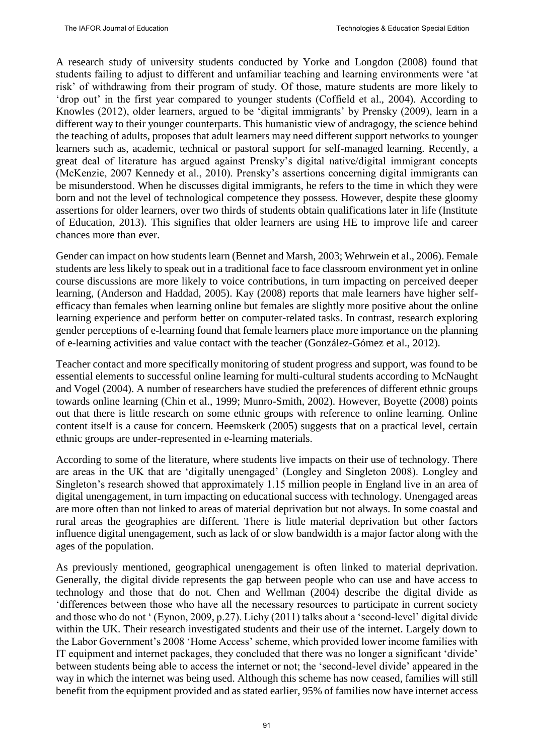A research study of university students conducted by Yorke and Longdon (2008) found that students failing to adjust to different and unfamiliar teaching and learning environments were 'at risk' of withdrawing from their program of study. Of those, mature students are more likely to 'drop out' in the first year compared to younger students (Coffield et al., 2004). According to Knowles (2012), older learners, argued to be 'digital immigrants' by Prensky (2009), learn in a different way to their younger counterparts. This humanistic view of andragogy, the science behind the teaching of adults, proposes that adult learners may need different support networks to younger learners such as, academic, technical or pastoral support for self-managed learning. Recently, a great deal of literature has argued against Prensky's digital native/digital immigrant concepts (McKenzie, 2007 Kennedy et al., 2010). Prensky's assertions concerning digital immigrants can be misunderstood. When he discusses digital immigrants, he refers to the time in which they were born and not the level of technological competence they possess. However, despite these gloomy assertions for older learners, over two thirds of students obtain qualifications later in life (Institute of Education, 2013). This signifies that older learners are using HE to improve life and career chances more than ever.

Gender can impact on how students learn (Bennet and Marsh, 2003; Wehrwein et al., 2006). Female students are less likely to speak out in a traditional face to face classroom environment yet in online course discussions are more likely to voice contributions, in turn impacting on perceived deeper learning, (Anderson and Haddad, 2005). Kay (2008) reports that male learners have higher selfefficacy than females when learning online but females are slightly more positive about the online learning experience and perform better on computer-related tasks. In contrast, research exploring gender perceptions of e-learning found that female learners place more importance on the planning of e-learning activities and value contact with the teacher (González-Gómez et al., 2012).

Teacher contact and more specifically monitoring of student progress and support, was found to be essential elements to successful online learning for multi-cultural students according to McNaught and Vogel (2004). A number of researchers have studied the preferences of different ethnic groups towards online learning (Chin et al., 1999; Munro-Smith, 2002). However, Boyette (2008) points out that there is little research on some ethnic groups with reference to online learning. Online content itself is a cause for concern. Heemskerk (2005) suggests that on a practical level, certain ethnic groups are under-represented in e-learning materials.

According to some of the literature, where students live impacts on their use of technology. There are areas in the UK that are 'digitally unengaged' (Longley and Singleton 2008). Longley and Singleton's research showed that approximately 1.15 million people in England live in an area of digital unengagement, in turn impacting on educational success with technology. Unengaged areas are more often than not linked to areas of material deprivation but not always. In some coastal and rural areas the geographies are different. There is little material deprivation but other factors influence digital unengagement, such as lack of or slow bandwidth is a major factor along with the ages of the population.

As previously mentioned, geographical unengagement is often linked to material deprivation. Generally, the digital divide represents the gap between people who can use and have access to technology and those that do not. Chen and Wellman (2004) describe the digital divide as 'differences between those who have all the necessary resources to participate in current society and those who do not ' (Eynon, 2009, p.27). Lichy (2011) talks about a 'second-level' digital divide within the UK. Their research investigated students and their use of the internet. Largely down to the Labor Government's 2008 'Home Access' scheme, which provided lower income families with IT equipment and internet packages, they concluded that there was no longer a significant 'divide' between students being able to access the internet or not; the 'second-level divide' appeared in the way in which the internet was being used. Although this scheme has now ceased, families will still benefit from the equipment provided and as stated earlier, 95% of families now have internet access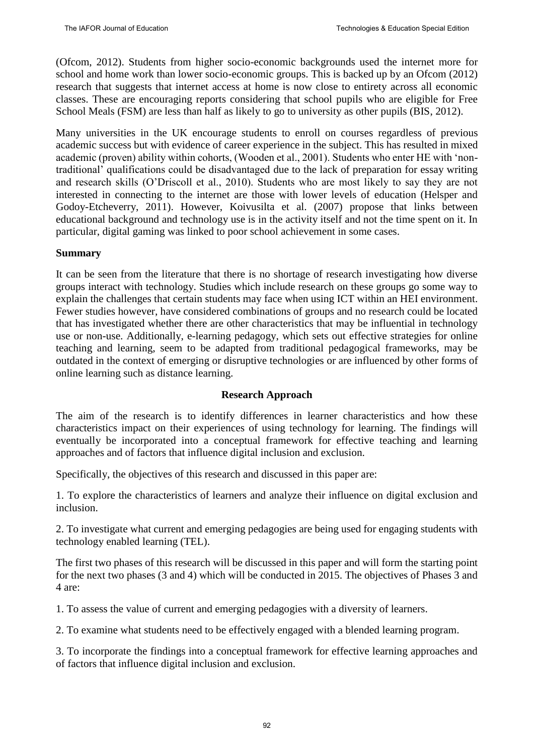(Ofcom, 2012). Students from higher socio-economic backgrounds used the internet more for school and home work than lower socio-economic groups. This is backed up by an Ofcom (2012) research that suggests that internet access at home is now close to entirety across all economic classes. These are encouraging reports considering that school pupils who are eligible for Free School Meals (FSM) are less than half as likely to go to university as other pupils (BIS, 2012).

Many universities in the UK encourage students to enroll on courses regardless of previous academic success but with evidence of career experience in the subject. This has resulted in mixed academic (proven) ability within cohorts, (Wooden et al., 2001). Students who enter HE with 'nontraditional' qualifications could be disadvantaged due to the lack of preparation for essay writing and research skills (O'Driscoll et al., 2010). Students who are most likely to say they are not interested in connecting to the internet are those with lower levels of education (Helsper and Godoy-Etcheverry, 2011). However, Koivusilta et al. (2007) propose that links between educational background and technology use is in the activity itself and not the time spent on it. In particular, digital gaming was linked to poor school achievement in some cases.

# **Summary**

It can be seen from the literature that there is no shortage of research investigating how diverse groups interact with technology. Studies which include research on these groups go some way to explain the challenges that certain students may face when using ICT within an HEI environment. Fewer studies however, have considered combinations of groups and no research could be located that has investigated whether there are other characteristics that may be influential in technology use or non-use. Additionally, e-learning pedagogy, which sets out effective strategies for online teaching and learning, seem to be adapted from traditional pedagogical frameworks, may be outdated in the context of emerging or disruptive technologies or are influenced by other forms of online learning such as distance learning.

# **Research Approach**

The aim of the research is to identify differences in learner characteristics and how these characteristics impact on their experiences of using technology for learning. The findings will eventually be incorporated into a conceptual framework for effective teaching and learning approaches and of factors that influence digital inclusion and exclusion.

Specifically, the objectives of this research and discussed in this paper are:

1. To explore the characteristics of learners and analyze their influence on digital exclusion and inclusion.

2. To investigate what current and emerging pedagogies are being used for engaging students with technology enabled learning (TEL).

The first two phases of this research will be discussed in this paper and will form the starting point for the next two phases (3 and 4) which will be conducted in 2015. The objectives of Phases 3 and 4 are:

1. To assess the value of current and emerging pedagogies with a diversity of learners.

2. To examine what students need to be effectively engaged with a blended learning program.

3. To incorporate the findings into a conceptual framework for effective learning approaches and of factors that influence digital inclusion and exclusion.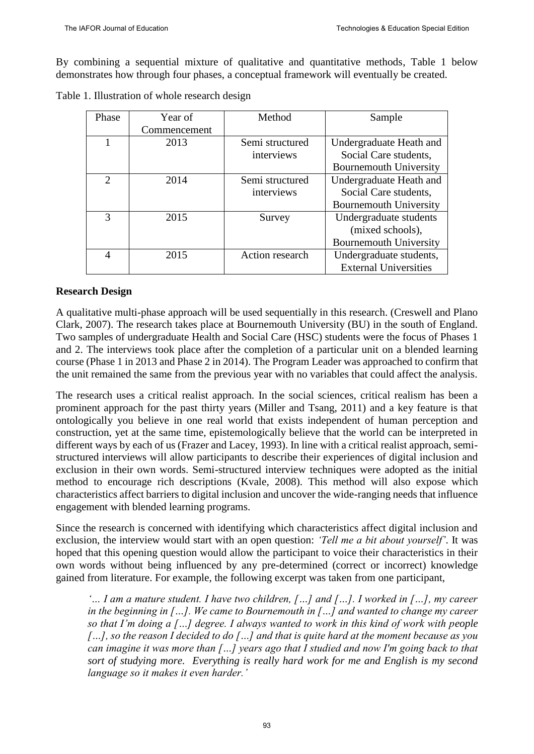By combining a sequential mixture of qualitative and quantitative methods, Table 1 below demonstrates how through four phases, a conceptual framework will eventually be created.

| Phase                       | Year of      | Method          | Sample                        |
|-----------------------------|--------------|-----------------|-------------------------------|
|                             | Commencement |                 |                               |
|                             | 2013         | Semi structured | Undergraduate Heath and       |
|                             |              | interviews      | Social Care students,         |
|                             |              |                 | <b>Bournemouth University</b> |
| $\mathcal{D}_{\mathcal{L}}$ | 2014         | Semi structured | Undergraduate Heath and       |
|                             |              | interviews      | Social Care students,         |
|                             |              |                 | <b>Bournemouth University</b> |
| 3                           | 2015         | Survey          | Undergraduate students        |
|                             |              |                 | (mixed schools),              |
|                             |              |                 | <b>Bournemouth University</b> |
| $\overline{4}$              | 2015         | Action research | Undergraduate students,       |
|                             |              |                 | <b>External Universities</b>  |

Table 1. Illustration of whole research design

# **Research Design**

A qualitative multi-phase approach will be used sequentially in this research. (Creswell and Plano Clark, 2007). The research takes place at Bournemouth University (BU) in the south of England. Two samples of undergraduate Health and Social Care (HSC) students were the focus of Phases 1 and 2. The interviews took place after the completion of a particular unit on a blended learning course (Phase 1 in 2013 and Phase 2 in 2014). The Program Leader was approached to confirm that the unit remained the same from the previous year with no variables that could affect the analysis.

The research uses a critical realist approach. In the social sciences, critical realism has been a prominent approach for the past thirty years (Miller and Tsang, 2011) and a key feature is that ontologically you believe in one real world that exists independent of human perception and construction, yet at the same time, epistemologically believe that the world can be interpreted in different ways by each of us (Frazer and Lacey, 1993). In line with a critical realist approach, semistructured interviews will allow participants to describe their experiences of digital inclusion and exclusion in their own words. Semi-structured interview techniques were adopted as the initial method to encourage rich descriptions (Kvale, 2008). This method will also expose which characteristics affect barriers to digital inclusion and uncover the wide-ranging needs that influence engagement with blended learning programs.

Since the research is concerned with identifying which characteristics affect digital inclusion and exclusion, the interview would start with an open question: *'Tell me a bit about yourself'*. It was hoped that this opening question would allow the participant to voice their characteristics in their own words without being influenced by any pre-determined (correct or incorrect) knowledge gained from literature. For example, the following excerpt was taken from one participant,

*'… I am a mature student. I have two children, […] and […]. I worked in […], my career in the beginning in […]. We came to Bournemouth in […] and wanted to change my career so that I'm doing a […] degree. I always wanted to work in this kind of work with people […], so the reason I decided to do […] and that is quite hard at the moment because as you can imagine it was more than […] years ago that I studied and now I'm going back to that sort of studying more. Everything is really hard work for me and English is my second language so it makes it even harder.'*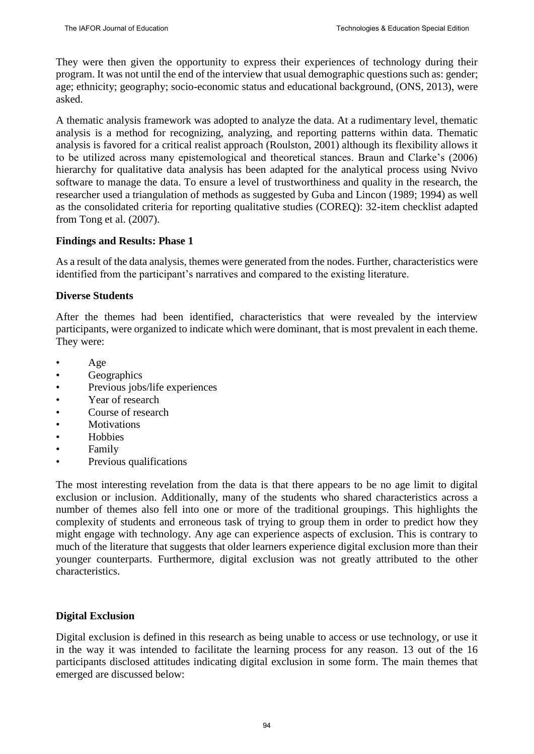They were then given the opportunity to express their experiences of technology during their program. It was not until the end of the interview that usual demographic questions such as: gender; age; ethnicity; geography; socio-economic status and educational background, (ONS, 2013), were asked.

A thematic analysis framework was adopted to analyze the data. At a rudimentary level, thematic analysis is a method for recognizing, analyzing, and reporting patterns within data. Thematic analysis is favored for a critical realist approach (Roulston, 2001) although its flexibility allows it to be utilized across many epistemological and theoretical stances. Braun and Clarke's (2006) hierarchy for qualitative data analysis has been adapted for the analytical process using Nvivo software to manage the data. To ensure a level of trustworthiness and quality in the research, the researcher used a triangulation of methods as suggested by Guba and Lincon (1989; 1994) as well as the consolidated criteria for reporting qualitative studies (COREQ): 32-item checklist adapted from Tong et al. (2007).

# **Findings and Results: Phase 1**

As a result of the data analysis, themes were generated from the nodes. Further, characteristics were identified from the participant's narratives and compared to the existing literature.

# **Diverse Students**

After the themes had been identified, characteristics that were revealed by the interview participants, were organized to indicate which were dominant, that is most prevalent in each theme. They were:

- Age
- Geographics
- Previous jobs/life experiences
- Year of research
- Course of research
- **Motivations**
- Hobbies
- Family
- Previous qualifications

The most interesting revelation from the data is that there appears to be no age limit to digital exclusion or inclusion. Additionally, many of the students who shared characteristics across a number of themes also fell into one or more of the traditional groupings. This highlights the complexity of students and erroneous task of trying to group them in order to predict how they might engage with technology. Any age can experience aspects of exclusion. This is contrary to much of the literature that suggests that older learners experience digital exclusion more than their younger counterparts. Furthermore, digital exclusion was not greatly attributed to the other characteristics.

### **Digital Exclusion**

Digital exclusion is defined in this research as being unable to access or use technology, or use it in the way it was intended to facilitate the learning process for any reason. 13 out of the 16 participants disclosed attitudes indicating digital exclusion in some form. The main themes that emerged are discussed below: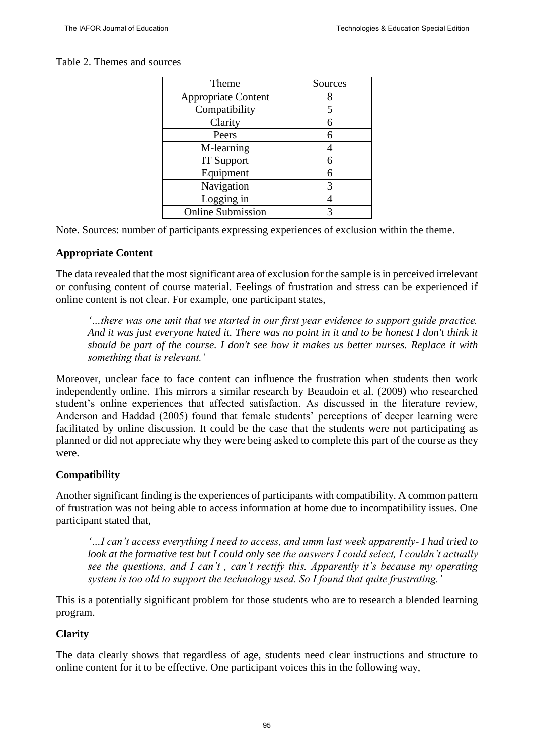# Table 2. Themes and sources

| Theme                      | Sources |
|----------------------------|---------|
| <b>Appropriate Content</b> |         |
| Compatibility              |         |
| Clarity                    |         |
| Peers                      |         |
| M-learning                 |         |
| <b>IT Support</b>          |         |
| Equipment                  |         |
| Navigation                 |         |
| Logging in                 |         |
| <b>Online Submission</b>   |         |

Note. Sources: number of participants expressing experiences of exclusion within the theme.

# **Appropriate Content**

The data revealed that the most significant area of exclusion for the sample is in perceived irrelevant or confusing content of course material. Feelings of frustration and stress can be experienced if online content is not clear. For example, one participant states,

*'…there was one unit that we started in our first year evidence to support guide practice. And it was just everyone hated it. There was no point in it and to be honest I don't think it should be part of the course. I don't see how it makes us better nurses. Replace it with something that is relevant.'*

Moreover, unclear face to face content can influence the frustration when students then work independently online. This mirrors a similar research by Beaudoin et al. (2009) who researched student's online experiences that affected satisfaction. As discussed in the literature review, Anderson and Haddad (2005) found that female students' perceptions of deeper learning were facilitated by online discussion. It could be the case that the students were not participating as planned or did not appreciate why they were being asked to complete this part of the course as they were.

# **Compatibility**

Another significant finding is the experiences of participants with compatibility. A common pattern of frustration was not being able to access information at home due to incompatibility issues. One participant stated that,

*'…I can't access everything I need to access, and umm last week apparently- I had tried to look at the formative test but I could only see the answers I could select, I couldn't actually see the questions, and I can't , can't rectify this. Apparently it's because my operating system is too old to support the technology used. So I found that quite frustrating.'*

This is a potentially significant problem for those students who are to research a blended learning program.

# **Clarity**

The data clearly shows that regardless of age, students need clear instructions and structure to online content for it to be effective. One participant voices this in the following way,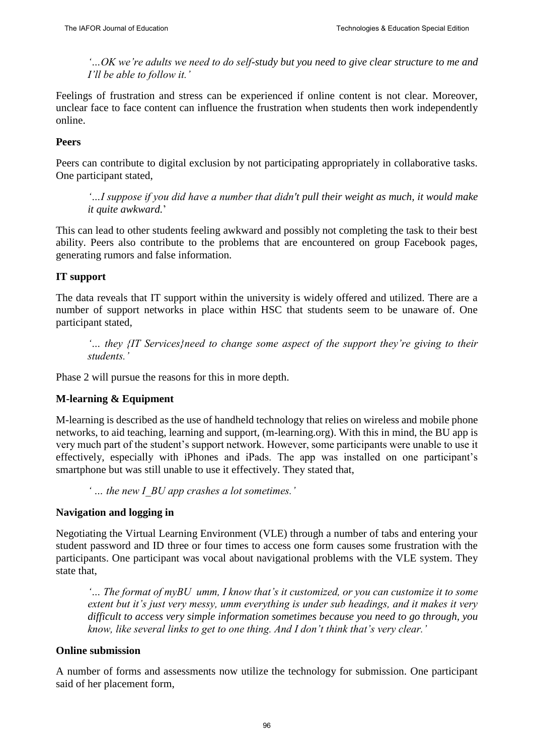*'…OK we're adults we need to do self-study but you need to give clear structure to me and I'll be able to follow it.'*

Feelings of frustration and stress can be experienced if online content is not clear. Moreover, unclear face to face content can influence the frustration when students then work independently online.

# **Peers**

Peers can contribute to digital exclusion by not participating appropriately in collaborative tasks. One participant stated,

*'…I suppose if you did have a number that didn't pull their weight as much, it would make it quite awkward.*'

This can lead to other students feeling awkward and possibly not completing the task to their best ability. Peers also contribute to the problems that are encountered on group Facebook pages, generating rumors and false information.

# **IT support**

The data reveals that IT support within the university is widely offered and utilized. There are a number of support networks in place within HSC that students seem to be unaware of. One participant stated,

*'… they {IT Services}need to change some aspect of the support they're giving to their students.'*

Phase 2 will pursue the reasons for this in more depth.

### **M-learning & Equipment**

M-learning is described as the use of handheld technology that relies on wireless and mobile phone networks, to aid teaching, learning and support, (m-learning.org). With this in mind, the BU app is very much part of the student's support network. However, some participants were unable to use it effectively, especially with iPhones and iPads. The app was installed on one participant's smartphone but was still unable to use it effectively. They stated that,

*' … the new I\_BU app crashes a lot sometimes.'*

### **Navigation and logging in**

Negotiating the Virtual Learning Environment (VLE) through a number of tabs and entering your student password and ID three or four times to access one form causes some frustration with the participants. One participant was vocal about navigational problems with the VLE system. They state that,

*'… The format of myBU umm, I know that's it customized, or you can customize it to some extent but it's just very messy, umm everything is under sub headings, and it makes it very difficult to access very simple information sometimes because you need to go through, you know, like several links to get to one thing. And I don't think that's very clear.'*

### **Online submission**

A number of forms and assessments now utilize the technology for submission. One participant said of her placement form,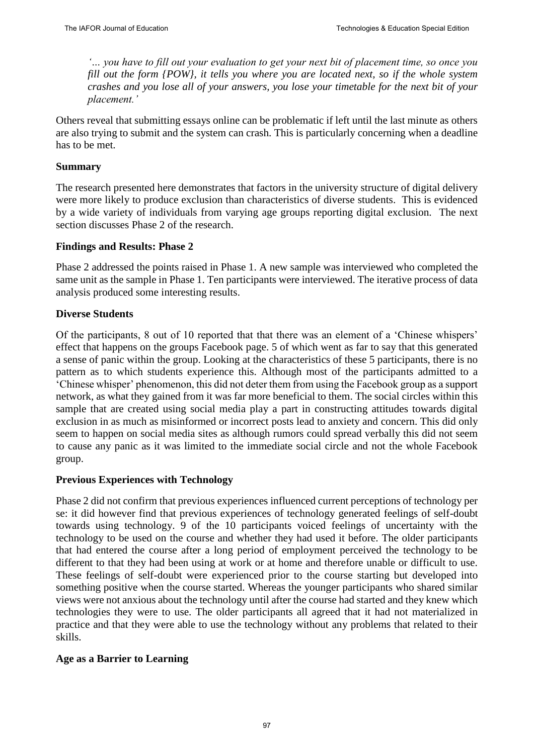*'… you have to fill out your evaluation to get your next bit of placement time, so once you fill out the form {POW}, it tells you where you are located next, so if the whole system crashes and you lose all of your answers, you lose your timetable for the next bit of your placement.'*

Others reveal that submitting essays online can be problematic if left until the last minute as others are also trying to submit and the system can crash. This is particularly concerning when a deadline has to be met.

#### **Summary**

The research presented here demonstrates that factors in the university structure of digital delivery were more likely to produce exclusion than characteristics of diverse students. This is evidenced by a wide variety of individuals from varying age groups reporting digital exclusion. The next section discusses Phase 2 of the research.

#### **Findings and Results: Phase 2**

Phase 2 addressed the points raised in Phase 1. A new sample was interviewed who completed the same unit as the sample in Phase 1. Ten participants were interviewed. The iterative process of data analysis produced some interesting results.

#### **Diverse Students**

Of the participants, 8 out of 10 reported that that there was an element of a 'Chinese whispers' effect that happens on the groups Facebook page. 5 of which went as far to say that this generated a sense of panic within the group. Looking at the characteristics of these 5 participants, there is no pattern as to which students experience this. Although most of the participants admitted to a 'Chinese whisper' phenomenon, this did not deter them from using the Facebook group as a support network, as what they gained from it was far more beneficial to them. The social circles within this sample that are created using social media play a part in constructing attitudes towards digital exclusion in as much as misinformed or incorrect posts lead to anxiety and concern. This did only seem to happen on social media sites as although rumors could spread verbally this did not seem to cause any panic as it was limited to the immediate social circle and not the whole Facebook group.

#### **Previous Experiences with Technology**

Phase 2 did not confirm that previous experiences influenced current perceptions of technology per se: it did however find that previous experiences of technology generated feelings of self-doubt towards using technology. 9 of the 10 participants voiced feelings of uncertainty with the technology to be used on the course and whether they had used it before. The older participants that had entered the course after a long period of employment perceived the technology to be different to that they had been using at work or at home and therefore unable or difficult to use. These feelings of self-doubt were experienced prior to the course starting but developed into something positive when the course started. Whereas the younger participants who shared similar views were not anxious about the technology until after the course had started and they knew which technologies they were to use. The older participants all agreed that it had not materialized in practice and that they were able to use the technology without any problems that related to their skills.

#### **Age as a Barrier to Learning**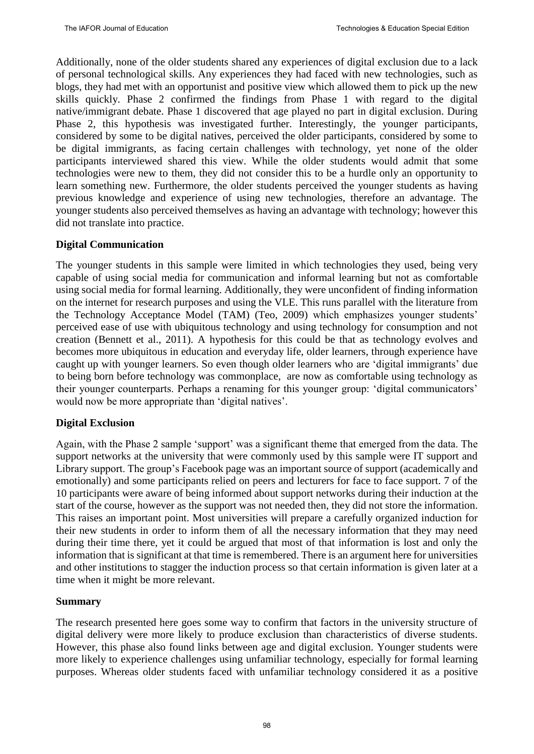Additionally, none of the older students shared any experiences of digital exclusion due to a lack of personal technological skills. Any experiences they had faced with new technologies, such as blogs, they had met with an opportunist and positive view which allowed them to pick up the new skills quickly. Phase 2 confirmed the findings from Phase 1 with regard to the digital native/immigrant debate. Phase 1 discovered that age played no part in digital exclusion. During Phase 2, this hypothesis was investigated further. Interestingly, the younger participants, considered by some to be digital natives, perceived the older participants, considered by some to be digital immigrants, as facing certain challenges with technology, yet none of the older participants interviewed shared this view. While the older students would admit that some technologies were new to them, they did not consider this to be a hurdle only an opportunity to learn something new. Furthermore, the older students perceived the younger students as having previous knowledge and experience of using new technologies, therefore an advantage. The younger students also perceived themselves as having an advantage with technology; however this did not translate into practice.

# **Digital Communication**

The younger students in this sample were limited in which technologies they used, being very capable of using social media for communication and informal learning but not as comfortable using social media for formal learning. Additionally, they were unconfident of finding information on the internet for research purposes and using the VLE. This runs parallel with the literature from the Technology Acceptance Model (TAM) (Teo, 2009) which emphasizes younger students' perceived ease of use with ubiquitous technology and using technology for consumption and not creation (Bennett et al., 2011). A hypothesis for this could be that as technology evolves and becomes more ubiquitous in education and everyday life, older learners, through experience have caught up with younger learners. So even though older learners who are 'digital immigrants' due to being born before technology was commonplace, are now as comfortable using technology as their younger counterparts. Perhaps a renaming for this younger group: 'digital communicators' would now be more appropriate than 'digital natives'.

### **Digital Exclusion**

Again, with the Phase 2 sample 'support' was a significant theme that emerged from the data. The support networks at the university that were commonly used by this sample were IT support and Library support. The group's Facebook page was an important source of support (academically and emotionally) and some participants relied on peers and lecturers for face to face support. 7 of the 10 participants were aware of being informed about support networks during their induction at the start of the course, however as the support was not needed then, they did not store the information. This raises an important point. Most universities will prepare a carefully organized induction for their new students in order to inform them of all the necessary information that they may need during their time there, yet it could be argued that most of that information is lost and only the information that is significant at that time is remembered. There is an argument here for universities and other institutions to stagger the induction process so that certain information is given later at a time when it might be more relevant.

### **Summary**

The research presented here goes some way to confirm that factors in the university structure of digital delivery were more likely to produce exclusion than characteristics of diverse students. However, this phase also found links between age and digital exclusion. Younger students were more likely to experience challenges using unfamiliar technology, especially for formal learning purposes. Whereas older students faced with unfamiliar technology considered it as a positive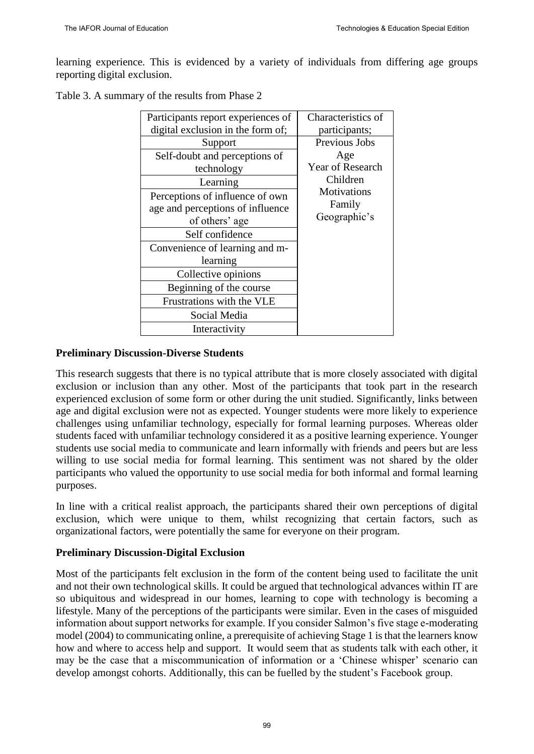learning experience. This is evidenced by a variety of individuals from differing age groups reporting digital exclusion.

Table 3. A summary of the results from Phase 2

| Participants report experiences of | Characteristics of                           |
|------------------------------------|----------------------------------------------|
| digital exclusion in the form of;  | participants;                                |
| Support                            | Previous Jobs                                |
| Self-doubt and perceptions of      | Age                                          |
| technology                         | <b>Year of Research</b>                      |
| Learning                           | Children                                     |
| Perceptions of influence of own    | <b>Motivations</b><br>Family<br>Geographic's |
| age and perceptions of influence   |                                              |
| of others' age                     |                                              |
| Self confidence                    |                                              |
| Convenience of learning and m-     |                                              |
| learning                           |                                              |
| Collective opinions                |                                              |
| Beginning of the course            |                                              |
| Frustrations with the VLE          |                                              |
| Social Media                       |                                              |
| Interactivity                      |                                              |

### **Preliminary Discussion-Diverse Students**

This research suggests that there is no typical attribute that is more closely associated with digital exclusion or inclusion than any other. Most of the participants that took part in the research experienced exclusion of some form or other during the unit studied. Significantly, links between age and digital exclusion were not as expected. Younger students were more likely to experience challenges using unfamiliar technology, especially for formal learning purposes. Whereas older students faced with unfamiliar technology considered it as a positive learning experience. Younger students use social media to communicate and learn informally with friends and peers but are less willing to use social media for formal learning. This sentiment was not shared by the older participants who valued the opportunity to use social media for both informal and formal learning purposes.

In line with a critical realist approach, the participants shared their own perceptions of digital exclusion, which were unique to them, whilst recognizing that certain factors, such as organizational factors, were potentially the same for everyone on their program.

### **Preliminary Discussion-Digital Exclusion**

Most of the participants felt exclusion in the form of the content being used to facilitate the unit and not their own technological skills. It could be argued that technological advances within IT are so ubiquitous and widespread in our homes, learning to cope with technology is becoming a lifestyle. Many of the perceptions of the participants were similar. Even in the cases of misguided information about support networks for example. If you consider Salmon's five stage e-moderating model (2004) to communicating online, a prerequisite of achieving Stage 1 is that the learners know how and where to access help and support. It would seem that as students talk with each other, it may be the case that a miscommunication of information or a 'Chinese whisper' scenario can develop amongst cohorts. Additionally, this can be fuelled by the student's Facebook group.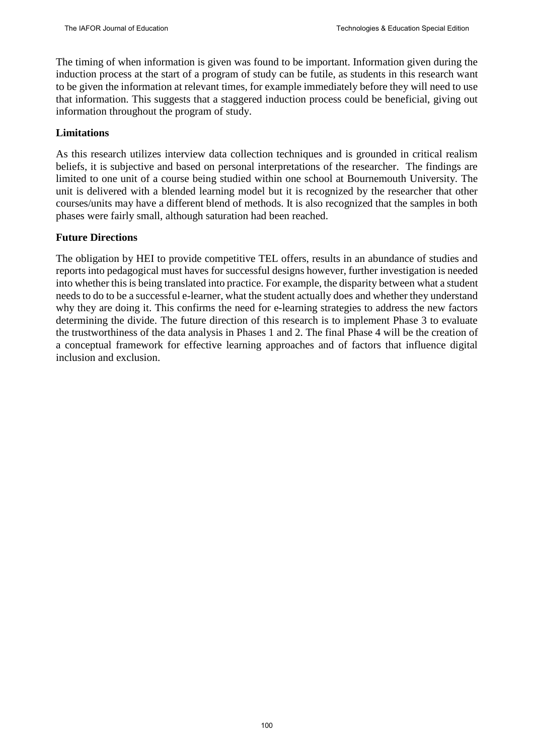The timing of when information is given was found to be important. Information given during the induction process at the start of a program of study can be futile, as students in this research want to be given the information at relevant times, for example immediately before they will need to use that information. This suggests that a staggered induction process could be beneficial, giving out information throughout the program of study.

# **Limitations**

As this research utilizes interview data collection techniques and is grounded in critical realism beliefs, it is subjective and based on personal interpretations of the researcher. The findings are limited to one unit of a course being studied within one school at Bournemouth University. The unit is delivered with a blended learning model but it is recognized by the researcher that other courses/units may have a different blend of methods. It is also recognized that the samples in both phases were fairly small, although saturation had been reached.

# **Future Directions**

The obligation by HEI to provide competitive TEL offers, results in an abundance of studies and reports into pedagogical must haves for successful designs however, further investigation is needed into whether this is being translated into practice. For example, the disparity between what a student needs to do to be a successful e-learner, what the student actually does and whether they understand why they are doing it. This confirms the need for e-learning strategies to address the new factors determining the divide. The future direction of this research is to implement Phase 3 to evaluate the trustworthiness of the data analysis in Phases 1 and 2. The final Phase 4 will be the creation of a conceptual framework for effective learning approaches and of factors that influence digital inclusion and exclusion.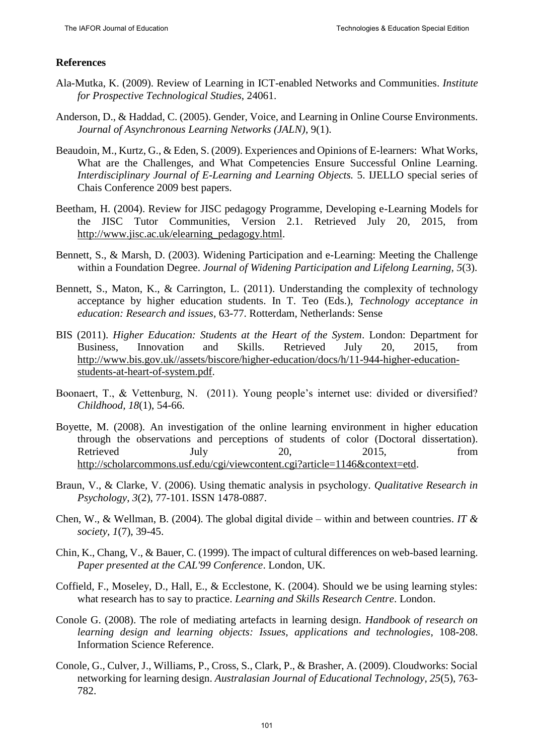# **References**

- Ala-Mutka, K. (2009). Review of Learning in ICT-enabled Networks and Communities. *Institute for Prospective Technological Studies*, 24061.
- Anderson, D., & Haddad, C. (2005). Gender, Voice, and Learning in Online Course Environments. *Journal of Asynchronous Learning Networks (JALN)*, 9(1).
- Beaudoin, M., Kurtz, G., & Eden, S. (2009). Experiences and Opinions of E-learners: What Works, What are the Challenges, and What Competencies Ensure Successful Online Learning. *Interdisciplinary Journal of E-Learning and Learning Objects.* 5. IJELLO special series of Chais Conference 2009 best papers.
- Beetham, H. (2004). Review for JISC pedagogy Programme, Developing e-Learning Models for the JISC Tutor Communities, Version 2.1. Retrieved July 20, 2015, from [http://www.jisc.ac.uk/elearning\\_pedagogy.html.](http://www.jisc.ac.uk/elearning_pedagogy.html)
- Bennett, S., & Marsh, D. (2003). Widening Participation and e-Learning: Meeting the Challenge within a Foundation Degree. *Journal of Widening Participation and Lifelong Learning, 5*(3).
- Bennett, S., Maton, K., & Carrington, L. (2011). Understanding the complexity of technology acceptance by higher education students. In T. Teo (Eds.), *Technology acceptance in education: Research and issues,* 63-77. Rotterdam, Netherlands: Sense
- BIS (2011). *Higher Education: Students at the Heart of the System*. London: Department for Business, Innovation and Skills. Retrieved July 20, 2015, from [http://www.bis.gov.uk//assets/biscore/higher-education/docs/h/11-944-higher-education](http://www.bis.gov.uk/assets/biscore/higher-education/docs/h/11-944-higher-education-students-at-heart-of-system.pdf)[students-at-heart-of-system.pdf.](http://www.bis.gov.uk/assets/biscore/higher-education/docs/h/11-944-higher-education-students-at-heart-of-system.pdf)
- Boonaert, T., & Vettenburg, N. (2011). Young people's internet use: divided or diversified? *Childhood, 18*(1), 54-66.
- Boyette, M. (2008). An investigation of the online learning environment in higher education through the observations and perceptions of students of color (Doctoral dissertation). Retrieved July 20, 2015, from [http://scholarcommons.usf.edu/cgi/viewcontent.cgi?article=1146&context=etd.](http://scholarcommons.usf.edu/cgi/viewcontent.cgi?article=1146&context=etd)
- Braun, V., & Clarke, V. (2006). Using thematic analysis in psychology. *Qualitative Research in Psychology*, *3*(2), 77-101. ISSN 1478-0887.
- Chen, W., & Wellman, B. (2004). The global digital divide within and between countries. *IT & society, 1*(7), 39-45.
- Chin, K., Chang, V., & Bauer, C. (1999). The impact of cultural differences on web-based learning. *Paper presented at the CAL'99 Conference*. London, UK.
- Coffield, F., Moseley, D., Hall, E., & Ecclestone, K. (2004). Should we be using learning styles: what research has to say to practice. *Learning and Skills Research Centre*. London.
- Conole G. (2008). The role of mediating artefacts in learning design. *Handbook of research on learning design and learning objects: Issues, applications and technologies*, 108-208. Information Science Reference.
- Conole, G., Culver, J., Williams, P., Cross, S., Clark, P., & Brasher, A. (2009). Cloudworks: Social networking for learning design. *Australasian Journal of Educational Technology*, *25*(5), 763- 782.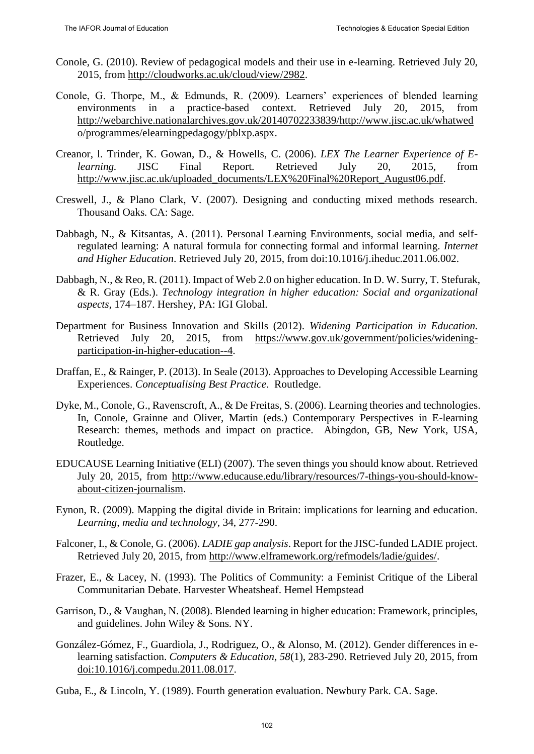- Conole, G. (2010). Review of pedagogical models and their use in e-learning. Retrieved July 20, 2015, from [http://cloudworks.ac.uk/cloud/view/2982.](http://cloudworks.ac.uk/cloud/view/2982)
- Conole, G. Thorpe, M., & Edmunds, R. (2009). Learners' experiences of blended learning environments in a practice-based context. Retrieved July 20, 2015, from [http://webarchive.nationalarchives.gov.uk/20140702233839/http://www.jisc.ac.uk/whatwed](http://webarchive.nationalarchives.gov.uk/20140702233839/http:/www.jisc.ac.uk/whatwedo/programmes/elearningpedagogy/pblxp.aspx) [o/programmes/elearningpedagogy/pblxp.aspx.](http://webarchive.nationalarchives.gov.uk/20140702233839/http:/www.jisc.ac.uk/whatwedo/programmes/elearningpedagogy/pblxp.aspx)
- Creanor, l. Trinder, K. Gowan, D., & Howells, C. (2006). *LEX The Learner Experience of Elearning.* JISC Final Report*.* Retrieved July 20, 2015, from [http://www.jisc.ac.uk/uploaded\\_documents/LEX%20Final%20Report\\_August06.pdf.](http://www.jisc.ac.uk/uploaded_documents/LEX%20Final%20Report_August06.pdf)
- Creswell, J., & Plano Clark, V. (2007). Designing and conducting mixed methods research. Thousand Oaks*.* CA: Sage.
- Dabbagh, N., & Kitsantas, A. (2011). Personal Learning Environments, social media, and selfregulated learning: A natural formula for connecting formal and informal learning. *Internet and Higher Education*. Retrieved July 20, 2015, from doi:10.1016/j.iheduc.2011.06.002.
- Dabbagh, N., & Reo, R. (2011). Impact of Web 2.0 on higher education. In D. W. Surry, T. Stefurak, & R. Gray (Eds.). *Technology integration in higher education: Social and organizational aspects,* 174–187. Hershey, PA: IGI Global.
- Department for Business Innovation and Skills (2012). *Widening Participation in Education.* Retrieved July 20, 2015, from [https://www.gov.uk/government/policies/widening](https://www.gov.uk/government/policies/widening-participation-in-higher-education--4)[participation-in-higher-education--4.](https://www.gov.uk/government/policies/widening-participation-in-higher-education--4)
- Draffan, E., & Rainger, P. (2013). In Seale (2013). Approaches to Developing Accessible Learning Experiences. *Conceptualising Best Practice*. Routledge.
- Dyke, M., Conole, G., Ravenscroft, A., & De Freitas, S. (2006). Learning theories and technologies. In, Conole, Grainne and Oliver, Martin (eds.) Contemporary Perspectives in E-learning Research: themes, methods and impact on practice. Abingdon, GB, New York, USA, Routledge.
- EDUCAUSE Learning Initiative (ELI) (2007). The seven things you should know about. Retrieved July 20, 2015, from [http://www.educause.edu/library/resources/7-things-you-should-know](http://www.educause.edu/library/resources/7-things-you-should-know-about-citizen-journalism)[about-citizen-journalism.](http://www.educause.edu/library/resources/7-things-you-should-know-about-citizen-journalism)
- Eynon, R. (2009). Mapping the digital divide in Britain: implications for learning and education. *Learning, media and technology*, 34, 277-290.
- Falconer, I., & Conole, G. (2006). *LADIE gap analysis*. Report for the JISC-funded LADIE project. Retrieved July 20, 2015, from [http://www.elframework.org/refmodels/ladie/guides/.](http://www.elframework.org/refmodels/ladie/guides/)
- Frazer, E., & Lacey, N. (1993). The Politics of Community: a Feminist Critique of the Liberal Communitarian Debate. Harvester Wheatsheaf. Hemel Hempstead
- Garrison, D., & Vaughan, N. (2008). Blended learning in higher education: Framework, principles, and guidelines. John Wiley & Sons*.* NY.
- González-Gómez, F., Guardiola, J., Rodriguez, O., & Alonso, M. (2012). Gender differences in elearning satisfaction. *Computers & Education, 58*(1), 283-290. Retrieved July 20, 2015, from [doi:10.1016/j.compedu.2011.08.017.](http://dx.doi.org/10.1016/j.compedu.2011.08.017)
- Guba, E., & Lincoln, Y. (1989). Fourth generation evaluation. Newbury Park*.* CA. Sage.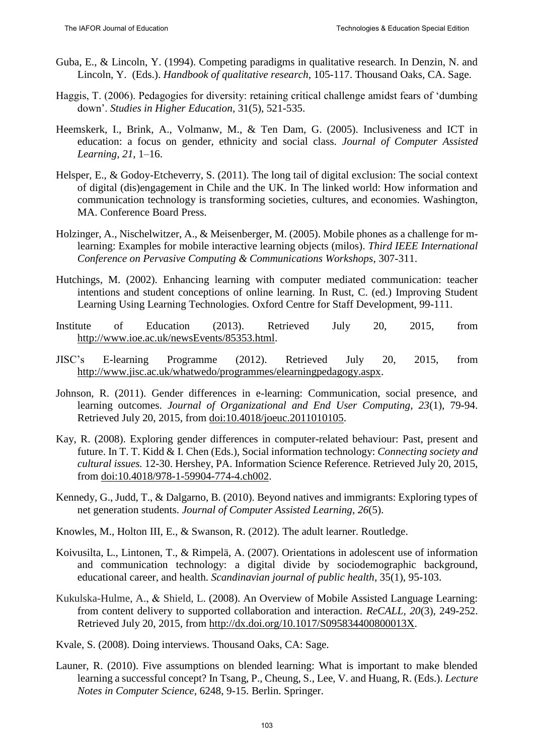- Guba, E., & Lincoln, Y. (1994). Competing paradigms in qualitative research. In Denzin, N. and Lincoln, Y. (Eds.). *Handbook of qualitative research,* 105-117. Thousand Oaks, CA. Sage.
- Haggis, T. (2006). Pedagogies for diversity: retaining critical challenge amidst fears of 'dumbing down'. *Studies in Higher Education,* 31(5), 521-535.
- Heemskerk, I., Brink, A., Volmanw, M., & Ten Dam, G. (2005). Inclusiveness and ICT in education: a focus on gender, ethnicity and social class. *Journal of Computer Assisted Learning, 21*, 1–16.
- Helsper, E., & Godoy-Etcheverry, S. (2011). The long tail of digital exclusion: The social context of digital (dis)engagement in Chile and the UK. In The linked world: How information and communication technology is transforming societies, cultures, and economies. Washington, MA. Conference Board Press.
- Holzinger, A., Nischelwitzer, A., & Meisenberger, M. (2005). Mobile phones as a challenge for mlearning: Examples for mobile interactive learning objects (milos). *Third IEEE International Conference on Pervasive Computing & Communications Workshops*, 307-311.
- Hutchings, M. (2002). Enhancing learning with computer mediated communication: teacher intentions and student conceptions of online learning. In Rust, C. (ed.) Improving Student Learning Using Learning Technologies*.* Oxford Centre for Staff Development, 99-111.
- Institute of Education (2013). Retrieved July 20, 2015, from [http://www.ioe.ac.uk/newsEvents/85353.html.](http://www.ioe.ac.uk/newsEvents/85353.html)
- JISC's E-learning Programme (2012). Retrieved July 20, 2015, from [http://www.jisc.ac.uk/whatwedo/programmes/elearningpedagogy.aspx.](http://www.jisc.ac.uk/whatwedo/programmes/elearningpedagogy.aspx)
- Johnson, R. (2011). Gender differences in e-learning: Communication, social presence, and learning outcomes. *Journal of Organizational and End User Computing, 23*(1), 79-94. Retrieved July 20, 2015, from [doi:10.4018/joeuc.2011010105.](http://dx.doi.org/10.4018/joeuc.2011010105)
- Kay, R. (2008). Exploring gender differences in computer-related behaviour: Past, present and future. In T. T. Kidd & I. Chen (Eds.), Social information technology: *Connecting society and cultural issues.* 12-30. Hershey, PA. Information Science Reference. Retrieved July 20, 2015, from [doi:10.4018/978-1-59904-774-4.ch002.](http://dx.doi.org/10.4018/978-1-59904-774-4.ch002)
- Kennedy, G., Judd, T., & Dalgarno, B. (2010). Beyond natives and immigrants: Exploring types of net generation students. *Journal of Computer Assisted Learning*, *26*(5).

Knowles, M., Holton III, E., & Swanson, R. (2012). The adult learner. Routledge.

- Koivusilta, L., Lintonen, T., & Rimpelä, A. (2007). Orientations in adolescent use of information and communication technology: a digital divide by sociodemographic background, educational career, and health. *Scandinavian journal of public health*, 35(1), 95-103.
- Kukulska-Hulme, A., & Shield, L. (2008). An Overview of Mobile Assisted Language Learning: from content delivery to supported collaboration and interaction. *ReCALL, 20*(3)*,* 249-252. Retrieved July 20, 2015, from [http://dx.doi.org/10.1017/S095834400800013X.](http://dx.doi.org/10.1017/S095834400800013X)
- Kvale, S. (2008). Doing interviews. Thousand Oaks, CA: Sage.
- Launer, R. (2010). Five assumptions on blended learning: What is important to make blended learning a successful concept? In Tsang, P., Cheung, S., Lee, V. and Huang, R. (Eds.). *Lecture Notes in Computer Science*, 6248, 9-15. Berlin. Springer.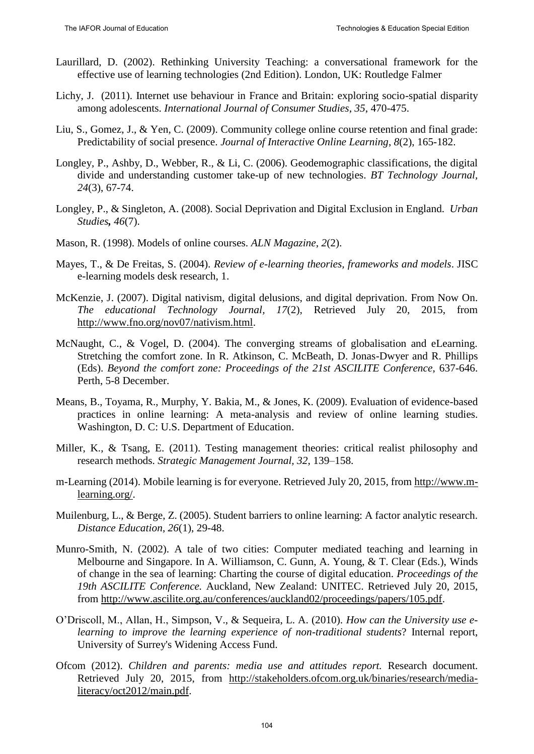- Laurillard, D. (2002). Rethinking University Teaching: a conversational framework for the effective use of learning technologies (2nd Edition). London, UK: Routledge Falmer
- Lichy, J. (2011). Internet use behaviour in France and Britain: exploring socio-spatial disparity among adolescents. *International Journal of Consumer Studies*, *35*, 470-475.
- Liu, S., Gomez, J., & Yen, C. (2009). Community college online course retention and final grade: Predictability of social presence. *Journal of Interactive Online Learning*, *8*(2), 165-182.
- Longley, P., Ashby, D., Webber, R., & Li, C. (2006). Geodemographic classifications, the digital divide and understanding customer take-up of new technologies. *BT Technology Journal, 24*(3), 67-74.
- Longley, P., & Singleton, A. (2008). Social Deprivation and Digital Exclusion in England. *Urban Studies, 46*(7).
- Mason, R. (1998). Models of online courses. *ALN Magazine*, *2*(2).
- Mayes, T., & De Freitas, S. (2004). *Review of e-learning theories, frameworks and models*. JISC e-learning models desk research, 1.
- McKenzie, J. (2007). Digital nativism, digital delusions, and digital deprivation. From Now On. *The educational Technology Journal, 17*(2), Retrieved July 20, 2015, from [http://www.fno.org/nov07/nativism.html.](http://www.fno.org/nov07/nativism.html)
- McNaught, C., & Vogel, D. (2004). The converging streams of globalisation and eLearning. Stretching the comfort zone. In R. Atkinson, C. McBeath, D. Jonas-Dwyer and R. Phillips (Eds). *Beyond the comfort zone: Proceedings of the 21st ASCILITE Conference*, 637-646. Perth, 5-8 December.
- Means, B., Toyama, R., Murphy, Y. Bakia, M., & Jones, K. (2009). Evaluation of evidence-based practices in online learning: A meta-analysis and review of online learning studies. Washington, D. C: U.S. Department of Education.
- Miller, K., & Tsang, E. (2011). Testing management theories: critical realist philosophy and research methods. *Strategic Management Journal, 32*, 139–158.
- m-Learning (2014). Mobile learning is for everyone. Retrieved July 20, 2015, from [http://www.m](http://www.m-learning.org/)[learning.org/.](http://www.m-learning.org/)
- Muilenburg, L., & Berge, Z. (2005). Student barriers to online learning: A factor analytic research. *Distance Education*, *26*(1), 29-48.
- Munro-Smith, N. (2002). A tale of two cities: Computer mediated teaching and learning in Melbourne and Singapore. In A. Williamson, C. Gunn, A. Young, & T. Clear (Eds.), Winds of change in the sea of learning: Charting the course of digital education. *Proceedings of the 19th ASCILITE Conference.* Auckland, New Zealand: UNITEC. Retrieved July 20, 2015, from [http://www.ascilite.org.au/conferences/auckland02/proceedings/papers/105.pdf.](http://www.ascilite.org.au/conferences/auckland02/proceedings/papers/105.pdf)
- O'Driscoll, M., Allan, H., Simpson, V., & Sequeira, L. A. (2010). *How can the University use elearning to improve the learning experience of non-traditional students*? Internal report, University of Surrey's Widening Access Fund.
- Ofcom (2012). *Children and parents: media use and attitudes report.* Research document. Retrieved July 20, 2015, from [http://stakeholders.ofcom.org.uk/binaries/research/media](http://stakeholders.ofcom.org.uk/binaries/research/media-literacy/oct2012/main.pdf)[literacy/oct2012/main.pdf.](http://stakeholders.ofcom.org.uk/binaries/research/media-literacy/oct2012/main.pdf)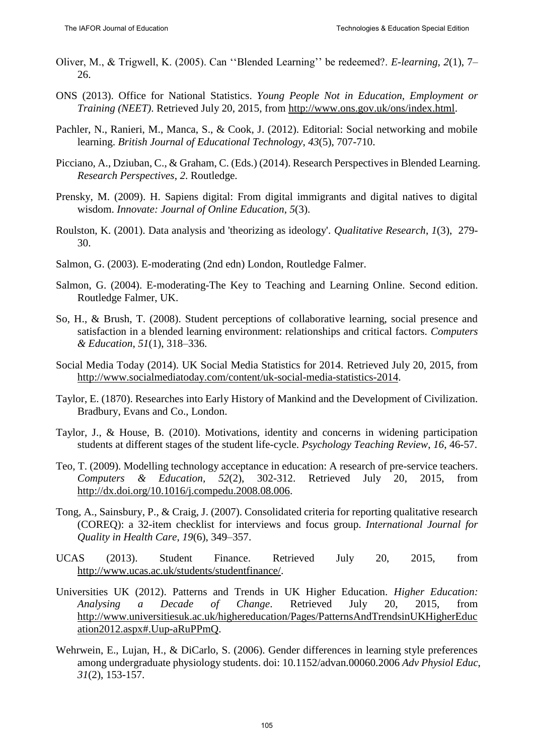- Oliver, M., & Trigwell, K. (2005). Can ''Blended Learning'' be redeemed?. *E-learning, 2*(1), 7– 26.
- ONS (2013). Office for National Statistics. *Young People Not in Education, Employment or Training (NEET)*. Retrieved July 20, 2015, from [http://www.ons.gov.uk/ons/index.html.](http://www.ons.gov.uk/ons/index.html)
- Pachler, N., Ranieri, M., Manca, S., & Cook, J. (2012). Editorial: Social networking and mobile learning. *British Journal of Educational Technology*, *43*(5), 707-710.
- Picciano, A., Dziuban, C., & Graham, C. (Eds.) (2014). Research Perspectives in Blended Learning. *Research Perspectives*, *2*. Routledge.
- Prensky, M. (2009). H. Sapiens digital: From digital immigrants and digital natives to digital wisdom. *Innovate: Journal of Online Education*, *5*(3).
- Roulston, K. (2001). Data analysis and 'theorizing as ideology'. *Qualitative Research*, *1*(3), 279- 30.
- Salmon, G. (2003). E-moderating (2nd edn) London, Routledge Falmer.
- Salmon, G. (2004). E-moderating-The Key to Teaching and Learning Online. Second edition. Routledge Falmer, UK.
- So, H., & Brush, T. (2008). Student perceptions of collaborative learning, social presence and satisfaction in a blended learning environment: relationships and critical factors. *Computers & Education*, *51*(1), 318–336.
- Social Media Today (2014). UK Social Media Statistics for 2014. Retrieved July 20, 2015, from [http://www.socialmediatoday.com/content/uk-social-media-statistics-2014.](http://www.socialmediatoday.com/content/uk-social-media-statistics-2014)
- Taylor, E. (1870). Researches into Early History of Mankind and the Development of Civilization. Bradbury, Evans and Co., London.
- Taylor, J., & House, B. (2010). Motivations, identity and concerns in widening participation students at different stages of the student life-cycle. *Psychology Teaching Review*, *16*, 46-57.
- Teo, T. (2009). Modelling technology acceptance in education: A research of pre-service teachers. *Computers & Education, 52*(2), 302-312. Retrieved July 20, 2015, from [http://dx.doi.org/10.1016/j.compedu.2008.08.006.](http://dx.doi.org/10.1016/j.compedu.2008.08.006)
- Tong, A., Sainsbury, P., & Craig, J. (2007). Consolidated criteria for reporting qualitative research (COREQ): a 32-item checklist for interviews and focus group. *International Journal for Quality in Health Care*, *19*(6), 349–357.
- UCAS (2013). Student Finance. Retrieved July 20, 2015, from [http://www.ucas.ac.uk/students/studentfinance/.](http://www.ucas.ac.uk/students/studentfinance/)
- Universities UK (2012). Patterns and Trends in UK Higher Education. *Higher Education: Analysing a Decade of Change*. Retrieved July 20, 2015, from [http://www.universitiesuk.ac.uk/highereducation/Pages/PatternsAndTrendsinUKHigherEduc](http://www.universitiesuk.ac.uk/highereducation/Pages/PatternsAndTrendsinUKHigherEducation2012.aspx#.Uup-aRuPPmQ) [ation2012.aspx#.Uup-aRuPPmQ.](http://www.universitiesuk.ac.uk/highereducation/Pages/PatternsAndTrendsinUKHigherEducation2012.aspx#.Uup-aRuPPmQ)
- Wehrwein, E., Lujan, H., & DiCarlo, S. (2006). Gender differences in learning style preferences among undergraduate physiology students. doi: 10.1152/advan.00060.2006 *Adv Physiol Educ*, *31*(2), 153-157.